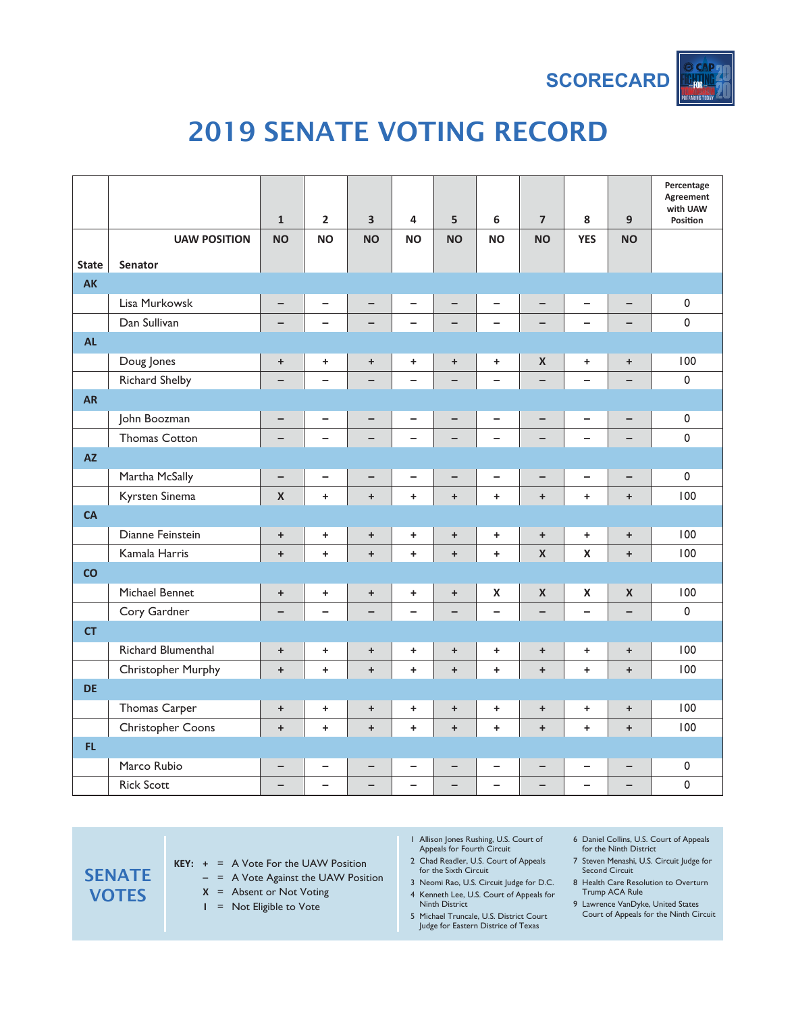

# 2019 SENATE VOTING RECORD

|              |                           | $\mathbf{1}$             | $\overline{\mathbf{2}}$  | $\overline{\mathbf{3}}$          | 4                        | $\overline{\mathbf{5}}$          | 6                        | $\overline{\mathbf{z}}$  | 8                        | 9                        | Percentage<br>Agreement<br>with UAW<br>Position |
|--------------|---------------------------|--------------------------|--------------------------|----------------------------------|--------------------------|----------------------------------|--------------------------|--------------------------|--------------------------|--------------------------|-------------------------------------------------|
|              | <b>UAW POSITION</b>       | <b>NO</b>                | <b>NO</b>                | <b>NO</b>                        | <b>NO</b>                | <b>NO</b>                        | <b>NO</b>                | <b>NO</b>                | <b>YES</b>               | <b>NO</b>                |                                                 |
| <b>State</b> | <b>Senator</b>            |                          |                          |                                  |                          |                                  |                          |                          |                          |                          |                                                 |
| <b>AK</b>    |                           |                          |                          |                                  |                          |                                  |                          |                          |                          |                          |                                                 |
|              | Lisa Murkowsk             | -                        | $\overline{\phantom{0}}$ | $\qquad \qquad -$                | -                        |                                  | -                        | -                        | $\overline{\phantom{0}}$ | $\overline{\phantom{0}}$ | $\pmb{0}$                                       |
|              | Dan Sullivan              |                          | $\overline{\phantom{0}}$ | $\overline{\phantom{0}}$         | $\overline{\phantom{0}}$ |                                  | $\overline{\phantom{0}}$ |                          | $\overline{\phantom{0}}$ | $\qquad \qquad -$        | $\mathbf 0$                                     |
| <b>AL</b>    |                           |                          |                          |                                  |                          |                                  |                          |                          |                          |                          |                                                 |
|              | Doug Jones                | $\ddot{}$                | ÷                        | $\begin{array}{c} + \end{array}$ | $\ddot{}$                | $\begin{array}{c} + \end{array}$ | $\ddot{}$                | $\pmb{\mathsf{X}}$       | $\ddot{}$                | $\ddot{}$                | 100                                             |
|              | Richard Shelby            |                          | $\overline{\phantom{0}}$ |                                  | $\overline{\phantom{0}}$ |                                  | $\overline{\phantom{0}}$ |                          | $\overline{\phantom{0}}$ |                          | $\mathbf 0$                                     |
| <b>AR</b>    |                           |                          |                          |                                  |                          |                                  |                          |                          |                          |                          |                                                 |
|              | John Boozman              | $\overline{\phantom{0}}$ | $\overline{\phantom{0}}$ | $\qquad \qquad -$                | $\overline{\phantom{0}}$ | $\overline{\phantom{0}}$         | $\qquad \qquad -$        | $\overline{\phantom{0}}$ | $\qquad \qquad -$        | $\overline{\phantom{0}}$ | $\pmb{0}$                                       |
|              | <b>Thomas Cotton</b>      | -                        | $\overline{\phantom{0}}$ | $\qquad \qquad -$                | -                        | -                                | $\qquad \qquad -$        | $\overline{\phantom{0}}$ | $\overline{\phantom{0}}$ | -                        | $\mathbf 0$                                     |
| <b>AZ</b>    |                           |                          |                          |                                  |                          |                                  |                          |                          |                          |                          |                                                 |
|              | Martha McSally            | $\overline{\phantom{0}}$ | $\overline{\phantom{0}}$ | $\overline{\phantom{0}}$         | $\overline{\phantom{0}}$ | $\overline{\phantom{0}}$         | $\overline{\phantom{0}}$ | $\overline{\phantom{0}}$ | $\overline{\phantom{0}}$ | $\overline{\phantom{0}}$ | $\pmb{0}$                                       |
|              | Kyrsten Sinema            | $\mathbf x$              | $\ddot{}$                | $\ddot{}$                        | $\ddot{}$                | $\ddot{}$                        | $\ddot{}$                | $\ddot{}$                | $\ddot{}$                | $+$                      | 100                                             |
| CA           |                           |                          |                          |                                  |                          |                                  |                          |                          |                          |                          |                                                 |
|              | Dianne Feinstein          | $\ddot{}$                | ÷                        | $\begin{array}{c} + \end{array}$ | $\ddot{}$                | $\ddot{}$                        | ٠                        | +                        | $+$                      | $\ddot{}$                | 100                                             |
|              | Kamala Harris             | $\ddot{}$                | $\ddot{}$                | $\ddot{}$                        | $\ddot{}$                | $\ddot{}$                        | $\ddot{}$                | $\mathsf{x}$             | $\pmb{\mathsf{X}}$       | $\ddot{}$                | 100                                             |
| CO           |                           |                          |                          |                                  |                          |                                  |                          |                          |                          |                          |                                                 |
|              | Michael Bennet            | $\ddot{}$                | ÷                        | $\begin{array}{c} + \end{array}$ | +                        | $\ddot{}$                        | X                        | $\pmb{\mathsf{X}}$       | $\pmb{\mathsf{X}}$       | $\pmb{\mathsf{X}}$       | 100                                             |
|              | Cory Gardner              |                          | $\overline{\phantom{0}}$ |                                  | $\overline{\phantom{0}}$ |                                  | $\overline{\phantom{0}}$ |                          | $\overline{\phantom{0}}$ |                          | $\mathbf 0$                                     |
| <b>CT</b>    |                           |                          |                          |                                  |                          |                                  |                          |                          |                          |                          |                                                 |
|              | Richard Blumenthal        | $\ddot{}$                | $\ddot{}$                | $\ddot{}$                        | $\ddot{}$                | $\ddot{}$                        | ٠                        | $\ddot{}$                | $\ddot{}$                | $\ddot{}$                | 100                                             |
|              | <b>Christopher Murphy</b> | $\ddot{}$                | $\ddot{}$                | $\ddot{}$                        | $\ddot{}$                | $\ddot{}$                        | $\ddot{}$                | $\ddot{}$                | $\ddot{}$                | $\ddot{}$                | 100                                             |
| <b>DE</b>    |                           |                          |                          |                                  |                          |                                  |                          |                          |                          |                          |                                                 |
|              | Thomas Carper             | $\ddot{}$                | $\ddot{}$                | $\ddot{}$                        | $\ddot{}$                | $\ddot{}$                        | $\ddot{}$                | $\ddot{}$                | $\ddot{}$                | $\ddot{}$                | 100                                             |
|              | <b>Christopher Coons</b>  | $\ddot{}$                | $\ddot{}$                | $\ddot{}$                        | $\ddot{}$                | $\ddot{}$                        | $\ddot{}$                | $\ddot{}$                | $\ddot{}$                | $\ddot{}$                | 100                                             |
| FL.          |                           |                          |                          |                                  |                          |                                  |                          |                          |                          |                          |                                                 |
|              | Marco Rubio               | -                        | -                        | —                                | -                        | $\qquad \qquad -$                | $\qquad \qquad -$        | -                        | -                        | -                        | $\pmb{0}$                                       |
|              | <b>Rick Scott</b>         | $\overline{\phantom{0}}$ | $\overline{\phantom{0}}$ | $\overline{\phantom{0}}$         | $\overline{\phantom{0}}$ | $\qquad \qquad -$                | $\overline{\phantom{0}}$ | $\overline{\phantom{0}}$ | $\overline{\phantom{0}}$ | $\overline{\phantom{0}}$ | $\pmb{0}$                                       |

**SENATE VOTES KEY: +** = A Vote For the UAW Position **–** = A Vote Against the UAW Position **X** = Absent or Not Voting

**I** = Not Eligible to Vote

- 1 Allison Jones Rushing, U.S. Court of Appeals for Fourth Circuit
- 2 Chad Readler, U.S. Court of Appeals for the Sixth Circuit

3 Neomi Rao, U.S. Circuit Judge for D.C. 4 Kenneth Lee, U.S. Court of Appeals for

- Ninth District 5 Michael Truncale, U.S. District Court Judge for Eastern Districe of Texas
- 6 Daniel Collins, U.S. Court of Appeals for the Ninth District
- 7 Steven Menashi, U.S. Circuit Judge for Second Circuit
- 8 Health Care Resolution to Overturn Trump ACA Rule
- 9 Lawrence VanDyke, United States Court of Appeals for the Ninth Circuit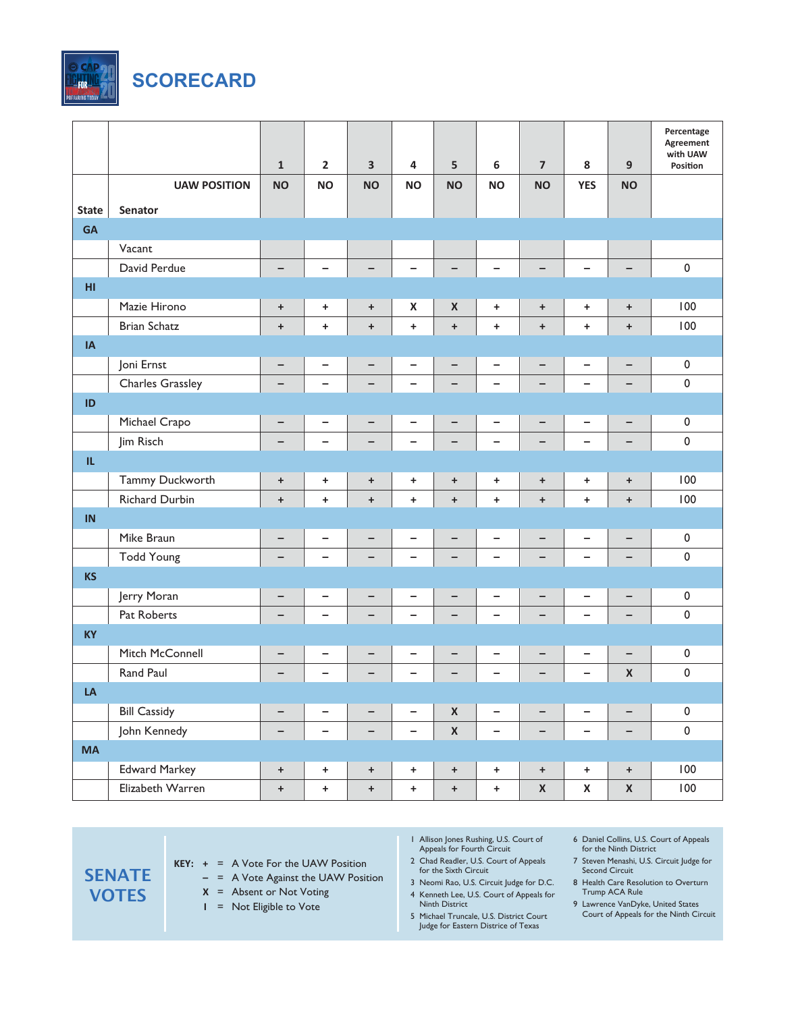

|              |                       | $\mathbf{1}$ | $\overline{2}$           | 3                 | 4                        | 5                        | 6                        | $\overline{\mathbf{z}}$  | 8                        | 9                        | Percentage<br>Agreement<br>with UAW<br>Position |
|--------------|-----------------------|--------------|--------------------------|-------------------|--------------------------|--------------------------|--------------------------|--------------------------|--------------------------|--------------------------|-------------------------------------------------|
|              | <b>UAW POSITION</b>   | <b>NO</b>    | <b>NO</b>                | <b>NO</b>         | <b>NO</b>                | <b>NO</b>                | <b>NO</b>                | <b>NO</b>                | <b>YES</b>               | <b>NO</b>                |                                                 |
| <b>State</b> | Senator               |              |                          |                   |                          |                          |                          |                          |                          |                          |                                                 |
| <b>GA</b>    |                       |              |                          |                   |                          |                          |                          |                          |                          |                          |                                                 |
|              | Vacant                |              |                          |                   |                          |                          |                          |                          |                          |                          |                                                 |
|              | David Perdue          | -            | $\overline{\phantom{0}}$ | $\qquad \qquad -$ | -                        | $\overline{\phantom{m}}$ | $\qquad \qquad -$        | $\qquad \qquad -$        | -                        | $\qquad \qquad -$        | $\pmb{0}$                                       |
| H1           |                       |              |                          |                   |                          |                          |                          |                          |                          |                          |                                                 |
|              | Mazie Hirono          | $\ddot{}$    | ٠                        | $\ddot{}$         | $\pmb{\mathsf{X}}$       | $\pmb{\mathsf{X}}$       | ÷                        | $\ddot{}$                | +                        | $\ddot{}$                | 100                                             |
|              | <b>Brian Schatz</b>   | $\ddot{}$    | $\ddot{}$                | $\ddot{}$         | $\ddot{}$                | $\pm$                    | $\ddot{}$                | $\ddot{}$                | $\ddot{}$                | $\ddot{}$                | 100                                             |
| IA           |                       |              |                          |                   |                          |                          |                          |                          |                          |                          |                                                 |
|              | Joni Ernst            | -            |                          | -                 | -                        | $\qquad \qquad -$        | -                        | $\qquad \qquad -$        | -                        | -                        | $\pmb{0}$                                       |
|              | Charles Grassley      | -            | $\qquad \qquad -$        | $\qquad \qquad -$ | $\qquad \qquad -$        | $\qquad \qquad -$        | -                        | $\qquad \qquad -$        | $\overline{\phantom{0}}$ | $\qquad \qquad -$        | $\pmb{0}$                                       |
| ID           |                       |              |                          |                   |                          |                          |                          |                          |                          |                          |                                                 |
|              | Michael Crapo         | -            |                          | $\qquad \qquad -$ | -                        | $\qquad \qquad -$        | -                        | $\overline{\phantom{m}}$ | -                        | $\overline{\phantom{0}}$ | $\pmb{0}$                                       |
|              | Jim Risch             | -            | $\qquad \qquad -$        | $\qquad \qquad -$ | $\qquad \qquad -$        | $\qquad \qquad -$        | $\qquad \qquad -$        | $\qquad \qquad -$        | $\qquad \qquad -$        | $\qquad \qquad -$        | $\pmb{0}$                                       |
| IL.          |                       |              |                          |                   |                          |                          |                          |                          |                          |                          |                                                 |
|              | Tammy Duckworth       | $\ddot{}$    | ٠                        | $\ddot{}$         | +                        | $\ddot{}$                | ÷                        | $\ddot{}$                | ٠                        | $\ddot{}$                | 100                                             |
|              | <b>Richard Durbin</b> | $\ddot{}$    | $\ddot{}$                | $\ddot{}$         | $\ddot{\phantom{1}}$     | $\ddot{}$                | $\ddot{}$                | $\ddot{}$                | $\ddot{}$                | $\ddot{}$                | 100                                             |
| IN           |                       |              |                          |                   |                          |                          |                          |                          |                          |                          |                                                 |
|              | Mike Braun            | -            | -                        | -                 | -                        | $\qquad \qquad -$        | $\overline{\phantom{0}}$ | -                        | -                        | $\overline{\phantom{m}}$ | $\pmb{0}$                                       |
|              | <b>Todd Young</b>     | -            | $\qquad \qquad -$        | $\qquad \qquad -$ | $\qquad \qquad -$        | $\overline{\phantom{0}}$ | $\qquad \qquad -$        | -                        | $\qquad \qquad -$        | $\qquad \qquad -$        | $\pmb{0}$                                       |
| <b>KS</b>    |                       |              |                          |                   |                          |                          |                          |                          |                          |                          |                                                 |
|              | Jerry Moran           | -            |                          | -                 | -                        | $\qquad \qquad$          | $\overline{\phantom{0}}$ | $\overline{\phantom{m}}$ | -                        | $\qquad \qquad -$        | $\pmb{0}$                                       |
|              | Pat Roberts           | -            | $\overline{\phantom{0}}$ | -                 | $\qquad \qquad -$        | $\qquad \qquad -$        | -                        | $\qquad \qquad -$        | $\overline{\phantom{0}}$ | $\qquad \qquad -$        | 0                                               |
| <b>KY</b>    |                       |              |                          |                   |                          |                          |                          |                          |                          |                          |                                                 |
|              | Mitch McConnell       | -            | -                        |                   | -                        |                          | -                        |                          | -                        |                          | 0                                               |
|              | Rand Paul             |              |                          |                   |                          |                          |                          |                          |                          | $\pmb{\mathsf{X}}$       | $\pmb{0}$                                       |
| LA           |                       |              |                          |                   |                          |                          |                          |                          |                          |                          |                                                 |
|              | <b>Bill Cassidy</b>   | -            | $\overline{\phantom{0}}$ | $\qquad \qquad -$ | $\overline{\phantom{0}}$ | $\pmb{\mathsf{X}}$       | $\qquad \qquad -$        | $\qquad \qquad -$        | $\overline{\phantom{0}}$ | $\qquad \qquad -$        | $\mathsf 0$                                     |
|              | John Kennedy          | -            | $\overline{\phantom{0}}$ | -                 | $\qquad \qquad -$        | $\pmb{\mathsf{X}}$       | $\qquad \qquad -$        | -                        | -                        | $\qquad \qquad -$        | $\pmb{0}$                                       |
| <b>MA</b>    |                       |              |                          |                   |                          |                          |                          |                          |                          |                          |                                                 |
|              | <b>Edward Markey</b>  | $\ddot{}$    | $\ddot{}$                | $\boldsymbol{+}$  | $\pm$                    | $+$                      | $\pm$                    | $\pm$                    | $\ddot{}$                | $+$                      | 100                                             |
|              | Elizabeth Warren      | $\ddot{}$    | $\pm$                    | $\pm$             | $\pm$                    | $\boldsymbol{+}$         | $\ddag$                  | $\pmb{\mathsf{X}}$       | $\pmb{\mathsf{X}}$       | $\pmb{\mathsf{X}}$       | 100                                             |

- **KEY: +** = A Vote For the UAW Position
	- **–** = A Vote Against the UAW Position
	- **X** = Absent or Not Voting
	- **I** = Not Eligible to Vote
- 1 Allison Jones Rushing, U.S. Court of Appeals for Fourth Circuit
- 2 Chad Readler, U.S. Court of Appeals for the Sixth Circuit
- 3 Neomi Rao, U.S. Circuit Judge for D.C. 4 Kenneth Lee, U.S. Court of Appeals for
- Ninth District
- 5 Michael Truncale, U.S. District Court Judge for Eastern Districe of Texas
- 6 Daniel Collins, U.S. Court of Appeals for the Ninth District
- 7 Steven Menashi, U.S. Circuit Judge for Second Circuit
- 8 Health Care Resolution to Overturn Trump ACA Rule
- 9 Lawrence VanDyke, United States Court of Appeals for the Ninth Circuit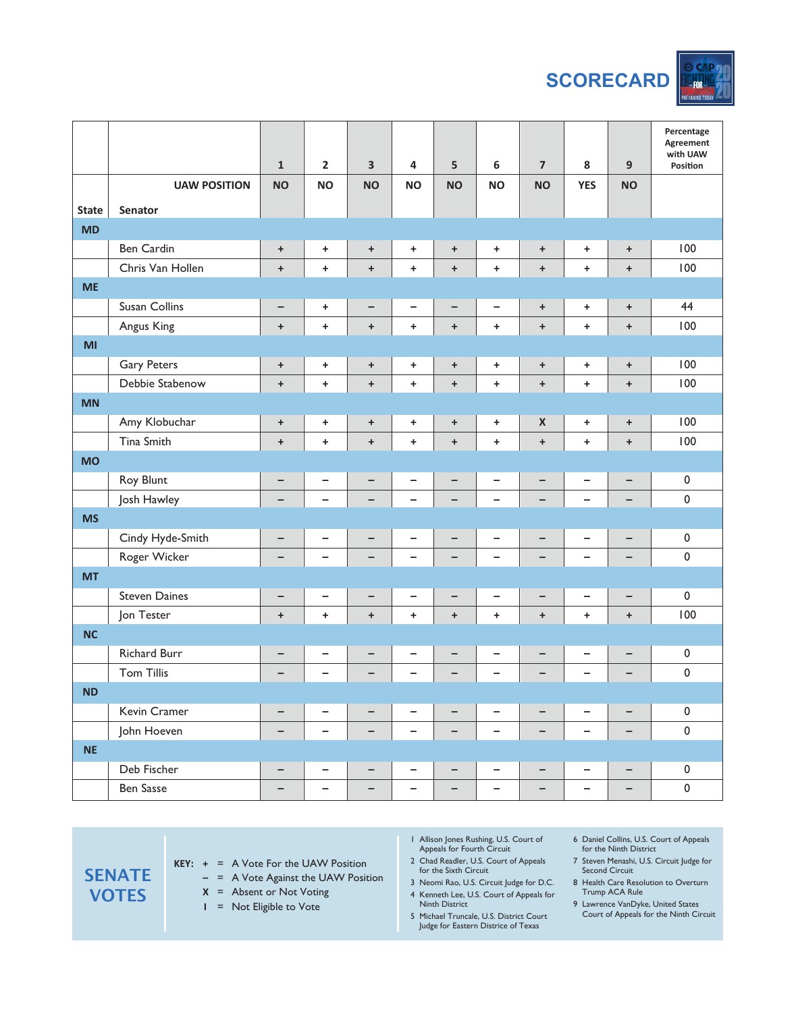

|                |                      | $\mathbf 1$ | $\mathbf{2}$             | $\overline{\mathbf{3}}$ | $\overline{\mathbf{4}}$  | 5                                | $\boldsymbol{6}$         | $\overline{\mathbf{z}}$          | 8                        | $\boldsymbol{9}$                 | Percentage<br>Agreement<br>with UAW<br>Position |
|----------------|----------------------|-------------|--------------------------|-------------------------|--------------------------|----------------------------------|--------------------------|----------------------------------|--------------------------|----------------------------------|-------------------------------------------------|
|                | <b>UAW POSITION</b>  | <b>NO</b>   | <b>NO</b>                | <b>NO</b>               | <b>NO</b>                | <b>NO</b>                        | <b>NO</b>                | <b>NO</b>                        | <b>YES</b>               | <b>NO</b>                        |                                                 |
| <b>State</b>   | Senator              |             |                          |                         |                          |                                  |                          |                                  |                          |                                  |                                                 |
| <b>MD</b>      |                      |             |                          |                         |                          |                                  |                          |                                  |                          |                                  |                                                 |
|                | Ben Cardin           | $\bf +$     | ÷                        | $\ddot{}$               | $\pm$                    | $\ddot{}$                        | ٠                        | $\begin{array}{c} + \end{array}$ | $+$                      | $\ddag$                          | 100                                             |
|                | Chris Van Hollen     | $\ddot{}$   | $\ddot{}$                | $\ddot{}$               | $\ddot{}$                | $\begin{array}{c} + \end{array}$ | $\pm$                    | $\ddot{}$                        | $\ddot{}$                | $\begin{array}{c} + \end{array}$ | 100                                             |
| <b>ME</b>      |                      |             |                          |                         |                          |                                  |                          |                                  |                          |                                  |                                                 |
|                | Susan Collins        | -           | ÷                        | -                       | -                        | $\qquad \qquad -$                | $\qquad \qquad -$        | $\begin{array}{c} + \end{array}$ | $+$                      | $\begin{array}{c} + \end{array}$ | 44                                              |
|                | Angus King           | $\ddot{}$   | $\ddot{}$                | $\ddot{}$               | $\pm$                    | $\ddot{}$                        | $\ddot{}$                | $\ddot{}$                        | $\ddot{}$                | $\begin{array}{c} + \end{array}$ | 100                                             |
| M <sub>l</sub> |                      |             |                          |                         |                          |                                  |                          |                                  |                          |                                  |                                                 |
|                | <b>Gary Peters</b>   | $\bf +$     | ÷                        | $\ddot{}$               | $\pm$                    | $\ddot{}$                        | $\ddag$                  | $\begin{array}{c} + \end{array}$ | $+$                      | $\begin{array}{c} + \end{array}$ | 100                                             |
|                | Debbie Stabenow      | $\ddot{}$   | $\ddot{}$                | $\ddot{}$               | $\pm$                    | $\begin{array}{c} + \end{array}$ | $\pm$                    | $\ddot{}$                        | $\ddot{}$                | $\begin{array}{c} + \end{array}$ | 100                                             |
| <b>MN</b>      |                      |             |                          |                         |                          |                                  |                          |                                  |                          |                                  |                                                 |
|                | Amy Klobuchar        | $\bf +$     | ÷                        | $\boldsymbol{+}$        | $\pm$                    | $\ddot{}$                        | $\pm$                    | $\pmb{\mathsf{X}}$               | $+$                      | $\begin{array}{c} + \end{array}$ | 100                                             |
|                | Tina Smith           | $\ddot{}$   | $\ddot{}$                | $\ddot{}$               | $\ddot{}$                | $\begin{array}{c} + \end{array}$ | $\ddot{}$                | $\ddot{}$                        | $\ddot{}$                | $\begin{array}{c} + \end{array}$ | 100                                             |
| <b>MO</b>      |                      |             |                          |                         |                          |                                  |                          |                                  |                          |                                  |                                                 |
|                | Roy Blunt            | -           | -                        | -                       | -                        | -                                | $\qquad \qquad -$        | $\qquad \qquad -$                | $\qquad \qquad -$        | $\qquad \qquad -$                | 0                                               |
|                | Josh Hawley          |             | $\overline{\phantom{0}}$ | $\qquad \qquad -$       | $\qquad \qquad -$        | $\qquad \qquad -$                | $\qquad \qquad -$        | $\overline{\phantom{0}}$         | $\overline{\phantom{0}}$ | $\qquad \qquad -$                | $\pmb{0}$                                       |
| <b>MS</b>      |                      |             |                          |                         |                          |                                  |                          |                                  |                          |                                  |                                                 |
|                | Cindy Hyde-Smith     | -           | -                        | -                       | -                        | $\qquad \qquad -$                | $\qquad \qquad -$        | $\qquad \qquad -$                | $\overline{\phantom{0}}$ | -                                | 0                                               |
|                | Roger Wicker         |             | -                        | -                       | $\overline{\phantom{0}}$ | $\qquad \qquad -$                | $\overline{\phantom{0}}$ | -                                | -                        | -                                | $\pmb{0}$                                       |
| <b>MT</b>      |                      |             |                          |                         |                          |                                  |                          |                                  |                          |                                  |                                                 |
|                | <b>Steven Daines</b> | -           | $\overline{\phantom{0}}$ | -                       | $\overline{\phantom{a}}$ | $\qquad \qquad -$                | $\qquad \qquad -$        | $\qquad \qquad -$                | $\overline{\phantom{0}}$ | $\qquad \qquad -$                | 0                                               |
|                | Jon Tester           | $\ddot{}$   | $\ddot{}$                | $\ddot{}$               | $\ddot{}$                | $\begin{array}{c} + \end{array}$ | $\ddot{}$                | $\ddot{}$                        | $\ddot{}$                | $\begin{array}{c} + \end{array}$ | 100                                             |
| <b>NC</b>      |                      |             |                          |                         |                          |                                  |                          |                                  |                          |                                  |                                                 |
|                | <b>Richard Burr</b>  | -           | -                        | —                       | -                        | $\qquad \qquad -$                | -                        |                                  | -                        | -                                | 0                                               |
|                | <b>Tom Tillis</b>    |             |                          |                         |                          |                                  |                          |                                  |                          |                                  | 0                                               |
| <b>ND</b>      |                      |             |                          |                         |                          |                                  |                          |                                  |                          |                                  |                                                 |
|                | Kevin Cramer         | -           | -                        | -                       | -                        | $\qquad \qquad -$                | -                        | -                                | -                        | $\qquad \qquad -$                | $\pmb{0}$                                       |
|                | John Hoeven          | -           | -                        | -                       | -                        | -                                | $\qquad \qquad -$        | -                                | -                        | $\qquad \qquad -$                | $\pmb{0}$                                       |
| <b>NE</b>      |                      |             |                          |                         |                          |                                  |                          |                                  |                          |                                  |                                                 |
|                | Deb Fischer          | -           | -                        | -                       | -                        | $\qquad \qquad -$                | -                        | -                                | -                        | $\qquad \qquad -$                | 0                                               |
|                | <b>Ben Sasse</b>     | -           | -                        | -                       | -                        | -                                | -                        | -                                | -                        | $\qquad \qquad -$                | $\pmb{0}$                                       |

**SENATE VOTES KEY: +** = A Vote For the UAW Position **–** = A Vote Against the UAW Position **X** = Absent or Not Voting **I** = Not Eligible to Vote 1 Allison Jones Rushing, U.S. Court of Appeals for Fourth Circuit 2 Chad Readler, U.S. Court of Appeals for the Sixth Circuit 3 Neomi Rao, U.S. Circuit Judge for D.C. 4 Kenneth Lee, U.S. Court of Appeals for Ninth District 5 Michael Truncale, U.S. District Court Judge for Eastern Districe of Texas

- 6 Daniel Collins, U.S. Court of Appeals for the Ninth District
- 7 Steven Menashi, U.S. Circuit Judge for Second Circuit
- 8 Health Care Resolution to Overturn Trump ACA Rule
- 9 Lawrence VanDyke, United States Court of Appeals for the Ninth Circuit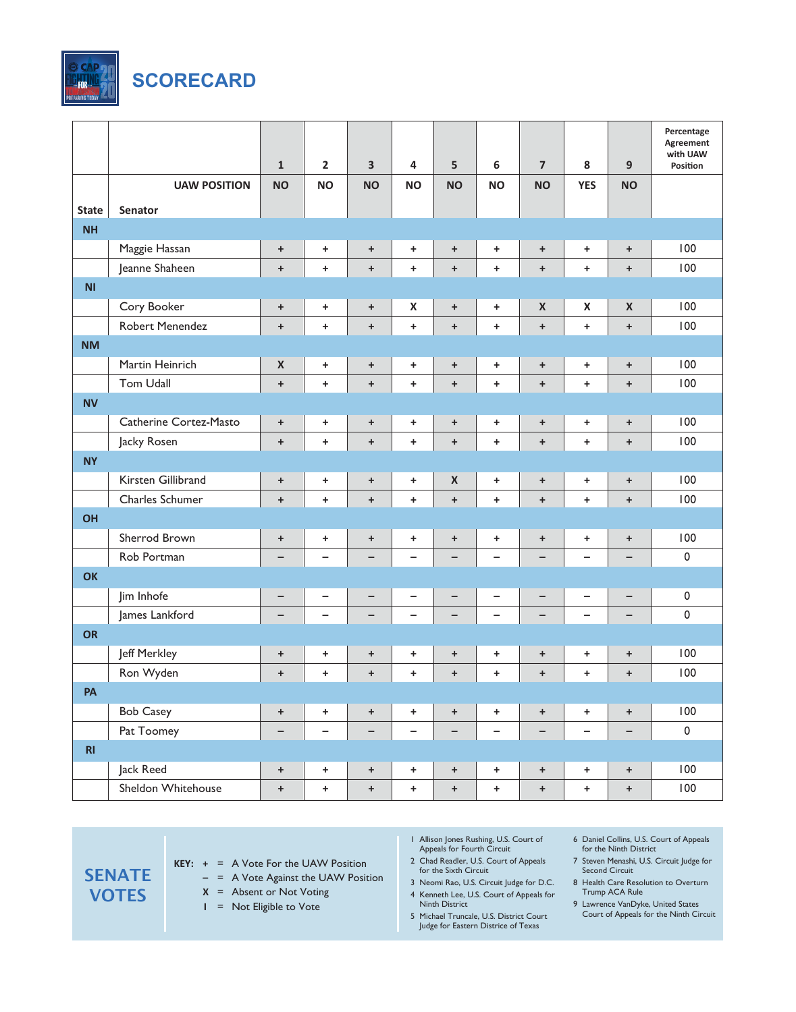

|                |                        | $\mathbf{1}$                     | $\overline{2}$           | 3                 | 4                        | 5                  | 6                        | $\overline{7}$                   | 8                        | 9                                | Percentage<br>Agreement<br>with UAW<br>Position |
|----------------|------------------------|----------------------------------|--------------------------|-------------------|--------------------------|--------------------|--------------------------|----------------------------------|--------------------------|----------------------------------|-------------------------------------------------|
|                | <b>UAW POSITION</b>    | <b>NO</b>                        | <b>NO</b>                | <b>NO</b>         | <b>NO</b>                | <b>NO</b>          | <b>NO</b>                | <b>NO</b>                        | <b>YES</b>               | <b>NO</b>                        |                                                 |
| <b>State</b>   | Senator                |                                  |                          |                   |                          |                    |                          |                                  |                          |                                  |                                                 |
| <b>NH</b>      |                        |                                  |                          |                   |                          |                    |                          |                                  |                          |                                  |                                                 |
|                | Maggie Hassan          | $\ddot{}$                        | ٠.                       | $\ddot{}$         | $\ddot{}$                | $\ddot{}$          | ÷                        | $\ddot{}$                        | ÷.                       | $\ddot{}$                        | 100                                             |
|                | Jeanne Shaheen         | $\ddot{}$                        | $\ddot{}$                | $\ddot{}$         | $\ddot{}$                | $\ddot{}$          | $\ddot{}$                | $\ddot{}$                        | $\ddot{}$                | $\begin{array}{c} + \end{array}$ | 100                                             |
| N <sub>1</sub> |                        |                                  |                          |                   |                          |                    |                          |                                  |                          |                                  |                                                 |
|                | Cory Booker            | $\ddot{}$                        | ÷                        | $\ddot{}$         | $\pmb{\mathsf{X}}$       | $\ddot{}$          | ÷                        | $\pmb{\times}$                   | $\pmb{\times}$           | $\pmb{\mathsf{X}}$               | 100                                             |
|                | Robert Menendez        | $\ddot{}$                        | $\ddot{}$                | $\ddot{}$         | $\ddot{}$                | $\ddot{}$          | $\ddot{}$                | $\ddot{}$                        | $\ddot{}$                | $\ddot{}$                        | 100                                             |
| <b>NM</b>      |                        |                                  |                          |                   |                          |                    |                          |                                  |                          |                                  |                                                 |
|                | Martin Heinrich        | $\pmb{\times}$                   | +                        | $\ddot{}$         | $\ddot{}$                | $\ddot{}$          | ÷                        | $\ddot{}$                        | ÷.                       | $\ddot{}$                        | 100                                             |
|                | <b>Tom Udall</b>       | $\ddot{}$                        | $\ddot{}$                | $\ddot{}$         | $\ddot{}$                | $\ddot{}$          | $\ddot{}$                | $\ddot{}$                        | $\ddot{}$                | $\ddot{}$                        | 100                                             |
| <b>NV</b>      |                        |                                  |                          |                   |                          |                    |                          |                                  |                          |                                  |                                                 |
|                | Catherine Cortez-Masto | $\ddot{}$                        | +                        | $\ddot{}$         | $\ddot{}$                | $\ddot{}$          | ÷                        | $\ddot{}$                        | ÷.                       | $\ddot{}$                        | 100                                             |
|                | Jacky Rosen            | $\ddot{}$                        | $\ddot{}$                | $\ddot{}$         | $\ddot{}$                | $\ddot{}$          | $\ddot{}$                | $\ddot{}$                        | $\ddot{}$                | $\ddot{}$                        | 100                                             |
| <b>NY</b>      |                        |                                  |                          |                   |                          |                    |                          |                                  |                          |                                  |                                                 |
|                | Kirsten Gillibrand     | $\ddot{}$                        | +                        | $\ddot{}$         | ÷.                       | $\pmb{\mathsf{X}}$ | ÷                        | $\ddot{}$                        | +                        | $\ddot{}$                        | 100                                             |
|                | Charles Schumer        | $\ddot{}$                        | $\ddot{}$                | $\ddot{}$         | $\ddot{}$                | $\ddot{}$          | $\ddot{}$                | $\ddot{}$                        | $\ddot{}$                | $\ddot{}$                        | 100                                             |
| OH             |                        |                                  |                          |                   |                          |                    |                          |                                  |                          |                                  |                                                 |
|                | Sherrod Brown          | $\ddot{}$                        | +                        | $\ddot{}$         | $\ddot{}$                | $\ddot{}$          | ÷                        | $\ddot{}$                        | +                        | $\ddot{}$                        | 100                                             |
|                | Rob Portman            | -                                | -                        | -                 | $\overline{\phantom{0}}$ | $\qquad \qquad -$  | $\overline{\phantom{0}}$ | $\qquad \qquad -$                | -                        | $\qquad \qquad -$                | $\pmb{0}$                                       |
| <b>OK</b>      |                        |                                  |                          |                   |                          |                    |                          |                                  |                          |                                  |                                                 |
|                | Jim Inhofe             | -                                |                          | $\qquad \qquad -$ | -                        | $\qquad \qquad -$  | $\overline{a}$           | -                                | -                        | -                                | $\pmb{0}$                                       |
|                | James Lankford         | -                                | $\overline{\phantom{0}}$ | $\qquad \qquad -$ | $\qquad \qquad -$        | $\qquad \qquad -$  | $\overline{\phantom{0}}$ | $\overline{\phantom{m}}$         | $\overline{\phantom{0}}$ | $\qquad \qquad -$                | $\pmb{0}$                                       |
| <b>OR</b>      |                        |                                  |                          |                   |                          |                    |                          |                                  |                          |                                  |                                                 |
|                | Jeff Merkley           | $\ddot{}$                        | ٠.                       | $\ddot{}$         | $\ddot{}$                | $\ddot{}$          | ÷                        | $\begin{array}{c} + \end{array}$ | ÷.                       | $\begin{array}{c} + \end{array}$ | 100                                             |
|                | Ron Wyden              | $\ddot{}$                        | +                        | $\ddot{}$         | $\ddot{}$                | $\ddot{}$          | +                        | $\ddot{}$                        | $\ddot{}$                | +                                | 100                                             |
| PA             |                        |                                  |                          |                   |                          |                    |                          |                                  |                          |                                  |                                                 |
|                | <b>Bob Casey</b>       | $\begin{array}{c} + \end{array}$ | $\ddot{}$                | $\ddot{}$         | $\pm$                    | $+$                | $\pm$                    | $\ddot{}$                        | $\ddot{}$                | $\begin{array}{c} + \end{array}$ | 100                                             |
|                | Pat Toomey             | -                                | -                        | -                 | -                        | $\qquad \qquad -$  | -                        | -                                | -                        | -                                | $\pmb{0}$                                       |
| RI             |                        |                                  |                          |                   |                          |                    |                          |                                  |                          |                                  |                                                 |
|                | Jack Reed              | $\begin{array}{c} + \end{array}$ | $\ddot{}$                | $\ddot{}$         | $+$                      | $+$                | $\pm$                    | $\ddot{}$                        | $\ddot{}$                | $\ddot{}$                        | 100                                             |
|                | Sheldon Whitehouse     | $\ddot{}$                        | $\pm$                    | $+$               | $\pm$                    | $+$                | $+$                      | $\boldsymbol{+}$                 | $+$                      | $\pm$                            | 100                                             |

- **KEY: +** = A Vote For the UAW Position
	- **–** = A Vote Against the UAW Position
	- **X** = Absent or Not Voting
	- **I** = Not Eligible to Vote
- 1 Allison Jones Rushing, U.S. Court of Appeals for Fourth Circuit
- 2 Chad Readler, U.S. Court of Appeals for the Sixth Circuit
- 3 Neomi Rao, U.S. Circuit Judge for D.C. 4 Kenneth Lee, U.S. Court of Appeals for
- Ninth District
- 5 Michael Truncale, U.S. District Court Judge for Eastern Districe of Texas
- 6 Daniel Collins, U.S. Court of Appeals for the Ninth District
- 7 Steven Menashi, U.S. Circuit Judge for Second Circuit
- 8 Health Care Resolution to Overturn Trump ACA Rule
- 9 Lawrence VanDyke, United States Court of Appeals for the Ninth Circuit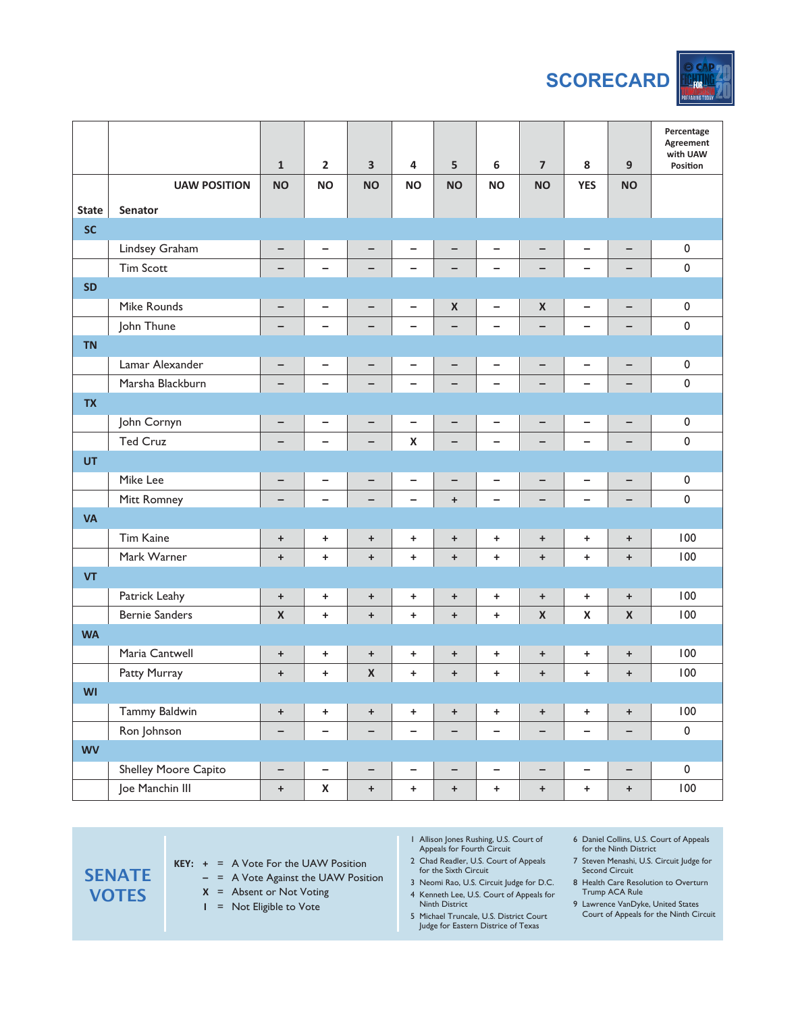

|              |                       | $\mathbf{1}$       | $\overline{2}$           | 3                  | 4                        | 5                                | $\boldsymbol{6}$         | $\overline{\mathbf{z}}$          | 8                        | 9                                | Percentage<br>Agreement<br>with UAW<br>Position |
|--------------|-----------------------|--------------------|--------------------------|--------------------|--------------------------|----------------------------------|--------------------------|----------------------------------|--------------------------|----------------------------------|-------------------------------------------------|
|              | <b>UAW POSITION</b>   | <b>NO</b>          | <b>NO</b>                | <b>NO</b>          | <b>NO</b>                | <b>NO</b>                        | <b>NO</b>                | <b>NO</b>                        | <b>YES</b>               | <b>NO</b>                        |                                                 |
| <b>State</b> | Senator               |                    |                          |                    |                          |                                  |                          |                                  |                          |                                  |                                                 |
| <b>SC</b>    |                       |                    |                          |                    |                          |                                  |                          |                                  |                          |                                  |                                                 |
|              | Lindsey Graham        | $\qquad \qquad -$  | -                        | -                  | $\overline{\phantom{0}}$ | -                                | $\overline{\phantom{0}}$ | $\qquad \qquad -$                | -                        | $\qquad \qquad -$                | $\pmb{0}$                                       |
|              | <b>Tim Scott</b>      |                    | $\overline{\phantom{0}}$ | $\qquad \qquad -$  | $\overline{\phantom{0}}$ | —                                | $\overline{\phantom{0}}$ | $\qquad \qquad -$                | $\overline{\phantom{0}}$ | $\qquad \qquad -$                | $\pmb{0}$                                       |
| <b>SD</b>    |                       |                    |                          |                    |                          |                                  |                          |                                  |                          |                                  |                                                 |
|              | <b>Mike Rounds</b>    | $\qquad \qquad -$  | -                        | -                  | $\qquad \qquad -$        | $\pmb{\times}$                   | $\overline{\phantom{0}}$ | $\pmb{\mathsf{X}}$               | -                        | $\qquad \qquad -$                | $\pmb{0}$                                       |
|              | John Thune            |                    | $\overline{\phantom{0}}$ | $\qquad \qquad -$  | -                        | -                                | $\overline{\phantom{0}}$ |                                  | $\overline{\phantom{0}}$ | $\qquad \qquad -$                | $\pmb{0}$                                       |
| <b>TN</b>    |                       |                    |                          |                    |                          |                                  |                          |                                  |                          |                                  |                                                 |
|              | Lamar Alexander       | $\qquad \qquad -$  | $\overline{\phantom{0}}$ | -                  | $\qquad \qquad -$        | -                                | $\overline{\phantom{0}}$ | $\overline{\phantom{m}}$         | -                        | $\qquad \qquad -$                | $\pmb{0}$                                       |
|              | Marsha Blackburn      | -                  | -                        | $\qquad \qquad -$  | $\overline{\phantom{0}}$ | -                                | $\overline{\phantom{0}}$ | $\overline{\phantom{0}}$         | -                        | $\qquad \qquad -$                | $\pmb{0}$                                       |
| <b>TX</b>    |                       |                    |                          |                    |                          |                                  |                          |                                  |                          |                                  |                                                 |
|              | John Cornyn           | $\qquad \qquad -$  | $\overline{\phantom{0}}$ | -                  | $\qquad \qquad -$        | $\qquad \qquad -$                | $\qquad \qquad -$        | $\overline{\phantom{m}}$         | -                        | -                                | $\pmb{0}$                                       |
|              | <b>Ted Cruz</b>       |                    | -                        | $\qquad \qquad -$  | $\pmb{\mathsf{X}}$       | $\qquad \qquad -$                | $\overline{\phantom{0}}$ | $\overline{\phantom{0}}$         | -                        | $\qquad \qquad -$                | $\pmb{0}$                                       |
| UT           |                       |                    |                          |                    |                          |                                  |                          |                                  |                          |                                  |                                                 |
|              | Mike Lee              | $\qquad \qquad -$  | $\overline{\phantom{0}}$ | -                  | $\qquad \qquad -$        | $\qquad \qquad -$                | $\qquad \qquad -$        | $\qquad \qquad -$                | -                        | -                                | $\pmb{0}$                                       |
|              | Mitt Romney           | -                  | $\overline{\phantom{0}}$ | $\qquad \qquad -$  | —                        | $\begin{array}{c} + \end{array}$ |                          | $\qquad \qquad -$                | -                        | $\qquad \qquad -$                | $\pmb{0}$                                       |
| <b>VA</b>    |                       |                    |                          |                    |                          |                                  |                          |                                  |                          |                                  |                                                 |
|              | <b>Tim Kaine</b>      | $\bf +$            | +                        | $\ddot{}$          | $+$                      | $\begin{array}{c} + \end{array}$ | $\ddot{}$                | $\begin{array}{c} + \end{array}$ | +                        | $\begin{array}{c} + \end{array}$ | 100                                             |
|              | Mark Warner           | $\ddot{}$          | $\ddot{}$                | $\ddot{}$          | $\ddot{}$                | $\begin{array}{c} + \end{array}$ | $\pm$                    | $\ddot{}$                        | $\ddot{}$                | $\begin{array}{c} + \end{array}$ | 100                                             |
| <b>VT</b>    |                       |                    |                          |                    |                          |                                  |                          |                                  |                          |                                  |                                                 |
|              | Patrick Leahy         | $\boldsymbol{+}$   | +                        | $\ddot{}$          | $+$                      | $\boldsymbol{+}$                 | $\pm$                    | $\begin{array}{c} + \end{array}$ | $\ddot{}$                | $\ddot{}$                        | 100                                             |
|              | <b>Bernie Sanders</b> | $\pmb{\mathsf{X}}$ | $\ddot{}$                | $\ddot{}$          | $\ddot{}$                | $\begin{array}{c} + \end{array}$ | $\pm$                    | $\pmb{\mathsf{X}}$               | $\pmb{\mathsf{X}}$       | $\pmb{\mathsf{X}}$               | 100                                             |
| <b>WA</b>    |                       |                    |                          |                    |                          |                                  |                          |                                  |                          |                                  |                                                 |
|              | Maria Cantwell        | $\boldsymbol{+}$   | +                        | $\ddot{}$          | $\ddot{}$                | $\begin{array}{c} + \end{array}$ | $\ddot{}$                | $\bf +$                          | $\ddot{}$                | $\ddot{}$                        | 100                                             |
|              | Patty Murray          | $\pmb{+}$          | $\ddot{}$                | $\pmb{\mathsf{X}}$ | $\ddot{}$                | $\begin{array}{c} + \end{array}$ | $\pm$                    | $\ddot{}$                        | $\ddot{}$                | $\pm$                            | 100                                             |
| WI           |                       |                    |                          |                    |                          |                                  |                          |                                  |                          |                                  |                                                 |
|              | Tammy Baldwin         | $\pm$              | $\ddot{}$                | $\ddot{}$          | $\pm$                    | $\pm$                            | $+$                      | $\pm$                            | $\pmb{+}$                | $\pm$                            | 100                                             |
|              | Ron Johnson           | -                  | $\overline{\phantom{a}}$ | $\qquad \qquad -$  | -                        | $\qquad \qquad -$                | $\qquad \qquad -$        | $\overline{\phantom{m}}$         | $\overline{\phantom{a}}$ | $\qquad \qquad -$                | $\pmb{0}$                                       |
| <b>WV</b>    |                       |                    |                          |                    |                          |                                  |                          |                                  |                          |                                  |                                                 |
|              | Shelley Moore Capito  | $\qquad \qquad -$  | $\overline{\phantom{0}}$ | $\qquad \qquad -$  | -                        | $\qquad \qquad -$                | $\qquad \qquad -$        | $\overline{\phantom{a}}$         | $\overline{\phantom{0}}$ | $\qquad \qquad -$                | $\pmb{0}$                                       |
|              | Joe Manchin III       | $\pm$              | $\pmb{\mathsf{X}}$       | $\ddot{}$          | $\pm$                    | $\boldsymbol{+}$                 | $\pm$                    | $\pmb{+}$                        | $\pm$                    | $\boldsymbol{+}$                 | 100                                             |

- **KEY: +** = A Vote For the UAW Position
	- **–** = A Vote Against the UAW Position
	- **X** = Absent or Not Voting
	- **I** = Not Eligible to Vote
- 1 Allison Jones Rushing, U.S. Court of Appeals for Fourth Circuit
- 2 Chad Readler, U.S. Court of Appeals for the Sixth Circuit
- 3 Neomi Rao, U.S. Circuit Judge for D.C. 4 Kenneth Lee, U.S. Court of Appeals for
- Ninth District
- 5 Michael Truncale, U.S. District Court Judge for Eastern Districe of Texas
- 6 Daniel Collins, U.S. Court of Appeals for the Ninth District
- 7 Steven Menashi, U.S. Circuit Judge for Second Circuit
- 8 Health Care Resolution to Overturn Trump ACA Rule
- 9 Lawrence VanDyke, United States Court of Appeals for the Ninth Circuit